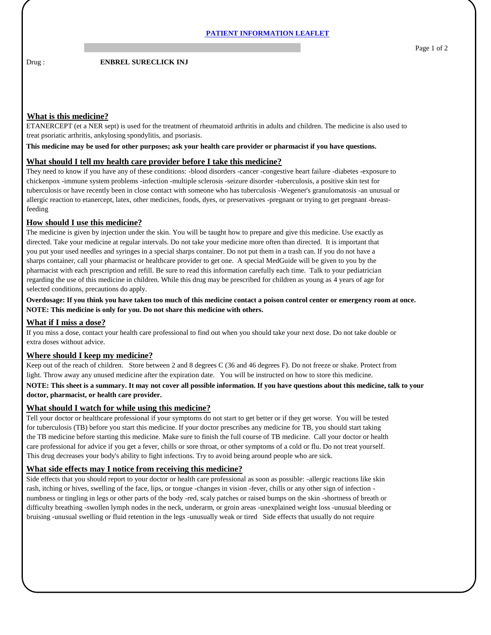Drug : **ENBREL SURECLICK INJ** 

# **What is this medicine?**

ETANERCEPT (et a NER sept) is used for the treatment of rheumatoid arthritis in adults and children. The medicine is also used to treat psoriatic arthritis, ankylosing spondylitis, and psoriasis.

**This medicine may be used for other purposes; ask your health care provider or pharmacist if you have questions.**

## **What should I tell my health care provider before I take this medicine?**

They need to know if you have any of these conditions: -blood disorders -cancer -congestive heart failure -diabetes -exposure to chickenpox -immune system problems -infection -multiple sclerosis -seizure disorder -tuberculosis, a positive skin test for tuberculosis or have recently been in close contact with someone who has tuberculosis -Wegener's granulomatosis -an unusual or allergic reaction to etanercept, latex, other medicines, foods, dyes, or preservatives -pregnant or trying to get pregnant -breastfeeding

## **How should I use this medicine?**

The medicine is given by injection under the skin. You will be taught how to prepare and give this medicine. Use exactly as directed. Take your medicine at regular intervals. Do not take your medicine more often than directed. It is important that you put your used needles and syringes in a special sharps container. Do not put them in a trash can. If you do not have a sharps container, call your pharmacist or healthcare provider to get one. A special MedGuide will be given to you by the pharmacist with each prescription and refill. Be sure to read this information carefully each time. Talk to your pediatrician regarding the use of this medicine in children. While this drug may be prescribed for children as young as 4 years of age for selected conditions, precautions do apply.

**Overdosage: If you think you have taken too much of this medicine contact a poison control center or emergency room at once. NOTE: This medicine is only for you. Do not share this medicine with others.**

#### **What if I miss a dose?**

If you miss a dose, contact your health care professional to find out when you should take your next dose. Do not take double or extra doses without advice.

#### **Where should I keep my medicine?**

Keep out of the reach of children. Store between 2 and 8 degrees C (36 and 46 degrees F). Do not freeze or shake. Protect from light. Throw away any unused medicine after the expiration date. You will be instructed on how to store this medicine.

## **NOTE: This sheet is a summary. It may not cover all possible information. If you have questions about this medicine, talk to your doctor, pharmacist, or health care provider.**

#### **What should I watch for while using this medicine?**

Tell your doctor or healthcare professional if your symptoms do not start to get better or if they get worse. You will be tested for tuberculosis (TB) before you start this medicine. If your doctor prescribes any medicine for TB, you should start taking the TB medicine before starting this medicine. Make sure to finish the full course of TB medicine. Call your doctor or health care professional for advice if you get a fever, chills or sore throat, or other symptoms of a cold or flu. Do not treat yourself. This drug decreases your body's ability to fight infections. Try to avoid being around people who are sick.

# **What side effects may I notice from receiving this medicine?**

Side effects that you should report to your doctor or health care professional as soon as possible: -allergic reactions like skin rash, itching or hives, swelling of the face, lips, or tongue -changes in vision -fever, chills or any other sign of infection numbness or tingling in legs or other parts of the body -red, scaly patches or raised bumps on the skin -shortness of breath or difficulty breathing -swollen lymph nodes in the neck, underarm, or groin areas -unexplained weight loss -unusual bleeding or bruising -unusual swelling or fluid retention in the legs -unusually weak or tired Side effects that usually do not require